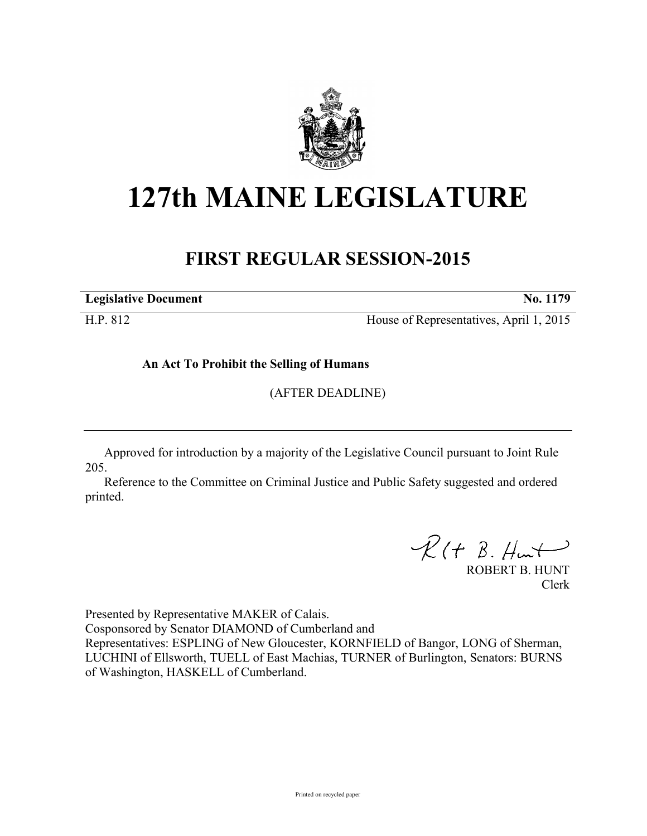

## **127th MAINE LEGISLATURE**

## **FIRST REGULAR SESSION-2015**

**Legislative Document No. 1179** 

H.P. 812 House of Representatives, April 1, 2015

**An Act To Prohibit the Selling of Humans**

(AFTER DEADLINE)

Approved for introduction by a majority of the Legislative Council pursuant to Joint Rule 205.

Reference to the Committee on Criminal Justice and Public Safety suggested and ordered printed.

 $R(t B. Hmt)$ 

ROBERT B. HUNT Clerk

Presented by Representative MAKER of Calais.

Cosponsored by Senator DIAMOND of Cumberland and

Representatives: ESPLING of New Gloucester, KORNFIELD of Bangor, LONG of Sherman, LUCHINI of Ellsworth, TUELL of East Machias, TURNER of Burlington, Senators: BURNS of Washington, HASKELL of Cumberland.